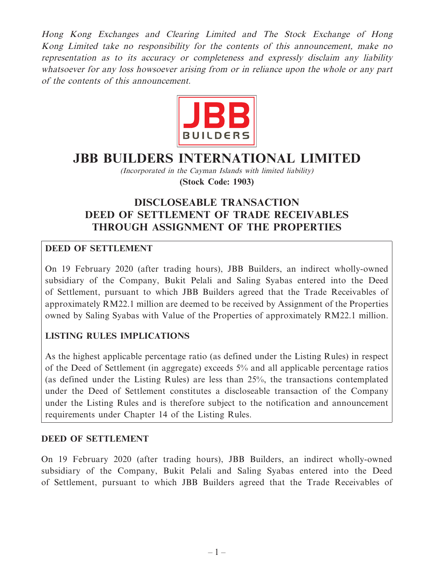Hong Kong Exchanges and Clearing Limited and The Stock Exchange of Hong Kong Limited take no responsibility for the contents of this announcement, make no representation as to its accuracy or completeness and expressly disclaim any liability whatsoever for any loss howsoever arising from or in reliance upon the whole or any part of the contents of this announcement.



# **JBB BUILDERS INTERNATIONAL LIMITED**

(Incorporated in the Cayman Islands with limited liability) **(Stock Code: 1903)**

## **DISCLOSEABLE TRANSACTION DEED OF SETTLEMENT OF TRADE RECEIVABLES THROUGH ASSIGNMENT OF THE PROPERTIES**

## **DEED OF SETTLEMENT**

On 19 February 2020 (after trading hours), JBB Builders, an indirect wholly-owned subsidiary of the Company, Bukit Pelali and Saling Syabas entered into the Deed of Settlement, pursuant to which JBB Builders agreed that the Trade Receivables of approximately RM22.1 million are deemed to be received by Assignment of the Properties owned by Saling Syabas with Value of the Properties of approximately RM22.1 million.

## **LISTING RULES IMPLICATIONS**

As the highest applicable percentage ratio (as defined under the Listing Rules) in respect of the Deed of Settlement (in aggregate) exceeds 5% and all applicable percentage ratios (as defined under the Listing Rules) are less than 25%, the transactions contemplated under the Deed of Settlement constitutes a discloseable transaction of the Company under the Listing Rules and is therefore subject to the notification and announcement requirements under Chapter 14 of the Listing Rules.

#### **DEED OF SETTLEMENT**

On 19 February 2020 (after trading hours), JBB Builders, an indirect wholly-owned subsidiary of the Company, Bukit Pelali and Saling Syabas entered into the Deed of Settlement, pursuant to which JBB Builders agreed that the Trade Receivables of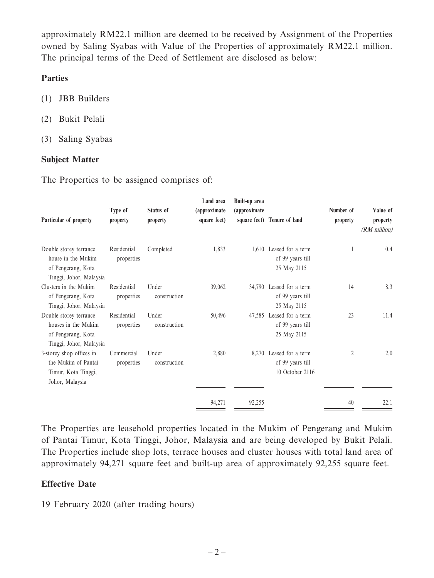approximately RM22.1 million are deemed to be received by Assignment of the Properties owned by Saling Syabas with Value of the Properties of approximately RM22.1 million. The principal terms of the Deed of Settlement are disclosed as below:

#### **Parties**

- (1) JBB Builders
- (2) Bukit Pelali
- (3) Saling Syabas

#### **Subject Matter**

The Properties to be assigned comprises of:

| Particular of property                                                                         | Type of<br>property       | Status of<br>property | Land area<br>(approximate<br>square feet) | Built-up area<br>(approximate | square feet) Tenure of land                                    | Number of<br>property | Value of<br>property<br>$(RM$ million) |
|------------------------------------------------------------------------------------------------|---------------------------|-----------------------|-------------------------------------------|-------------------------------|----------------------------------------------------------------|-----------------------|----------------------------------------|
| Double storey terrance<br>house in the Mukim<br>of Pengerang, Kota<br>Tinggi, Johor, Malaysia  | Residential<br>properties | Completed             | 1,833                                     |                               | 1,610 Leased for a term<br>of 99 years till<br>25 May 2115     |                       | 0.4                                    |
| Clusters in the Mukim<br>of Pengerang, Kota<br>Tinggi, Johor, Malaysia                         | Residential<br>properties | Under<br>construction | 39,062                                    |                               | 34,790 Leased for a term<br>of 99 years till<br>25 May 2115    | 14                    | 8.3                                    |
| Double storey terrance<br>houses in the Mukim<br>of Pengerang, Kota<br>Tinggi, Johor, Malaysia | Residential<br>properties | Under<br>construction | 50,496                                    |                               | 47,585 Leased for a term<br>of 99 years till<br>25 May 2115    | 23                    | 11.4                                   |
| 3-storey shop offices in<br>the Mukim of Pantai<br>Timur, Kota Tinggi,<br>Johor, Malaysia      | Commercial<br>properties  | Under<br>construction | 2,880                                     |                               | 8,270 Leased for a term<br>of 99 years till<br>10 October 2116 | 2                     | 2.0                                    |
|                                                                                                |                           |                       | 94,271                                    | 92,255                        |                                                                | 40                    | 22.1                                   |

The Properties are leasehold properties located in the Mukim of Pengerang and Mukim of Pantai Timur, Kota Tinggi, Johor, Malaysia and are being developed by Bukit Pelali. The Properties include shop lots, terrace houses and cluster houses with total land area of approximately 94,271 square feet and built-up area of approximately 92,255 square feet.

#### **Effective Date**

19 February 2020 (after trading hours)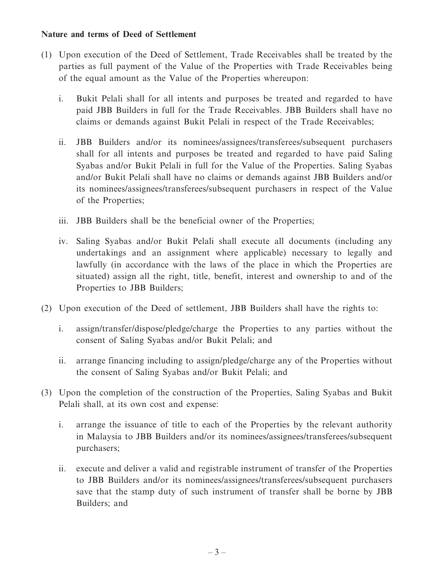#### **Nature and terms of Deed of Settlement**

- (1) Upon execution of the Deed of Settlement, Trade Receivables shall be treated by the parties as full payment of the Value of the Properties with Trade Receivables being of the equal amount as the Value of the Properties whereupon:
	- i. Bukit Pelali shall for all intents and purposes be treated and regarded to have paid JBB Builders in full for the Trade Receivables. JBB Builders shall have no claims or demands against Bukit Pelali in respect of the Trade Receivables;
	- ii. JBB Builders and/or its nominees/assignees/transferees/subsequent purchasers shall for all intents and purposes be treated and regarded to have paid Saling Syabas and/or Bukit Pelali in full for the Value of the Properties. Saling Syabas and/or Bukit Pelali shall have no claims or demands against JBB Builders and/or its nominees/assignees/transferees/subsequent purchasers in respect of the Value of the Properties;
	- iii. JBB Builders shall be the beneficial owner of the Properties;
	- iv. Saling Syabas and/or Bukit Pelali shall execute all documents (including any undertakings and an assignment where applicable) necessary to legally and lawfully (in accordance with the laws of the place in which the Properties are situated) assign all the right, title, benefit, interest and ownership to and of the Properties to JBB Builders;
- (2) Upon execution of the Deed of settlement, JBB Builders shall have the rights to:
	- i. assign/transfer/dispose/pledge/charge the Properties to any parties without the consent of Saling Syabas and/or Bukit Pelali; and
	- ii. arrange financing including to assign/pledge/charge any of the Properties without the consent of Saling Syabas and/or Bukit Pelali; and
- (3) Upon the completion of the construction of the Properties, Saling Syabas and Bukit Pelali shall, at its own cost and expense:
	- i. arrange the issuance of title to each of the Properties by the relevant authority in Malaysia to JBB Builders and/or its nominees/assignees/transferees/subsequent purchasers;
	- ii. execute and deliver a valid and registrable instrument of transfer of the Properties to JBB Builders and/or its nominees/assignees/transferees/subsequent purchasers save that the stamp duty of such instrument of transfer shall be borne by JBB Builders; and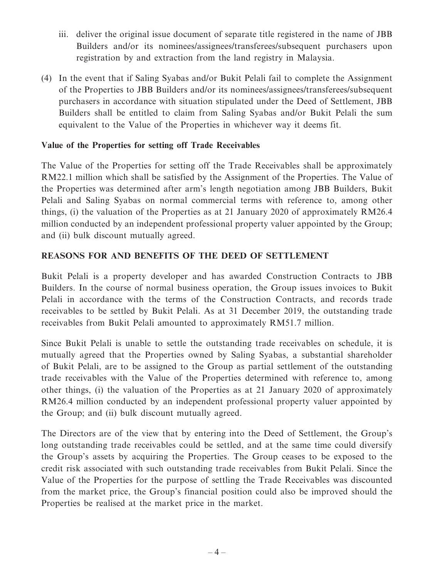- iii. deliver the original issue document of separate title registered in the name of JBB Builders and/or its nominees/assignees/transferees/subsequent purchasers upon registration by and extraction from the land registry in Malaysia.
- (4) In the event that if Saling Syabas and/or Bukit Pelali fail to complete the Assignment of the Properties to JBB Builders and/or its nominees/assignees/transferees/subsequent purchasers in accordance with situation stipulated under the Deed of Settlement, JBB Builders shall be entitled to claim from Saling Syabas and/or Bukit Pelali the sum equivalent to the Value of the Properties in whichever way it deems fit.

## **Value of the Properties for setting off Trade Receivables**

The Value of the Properties for setting off the Trade Receivables shall be approximately RM22.1 million which shall be satisfied by the Assignment of the Properties. The Value of the Properties was determined after arm's length negotiation among JBB Builders, Bukit Pelali and Saling Syabas on normal commercial terms with reference to, among other things, (i) the valuation of the Properties as at 21 January 2020 of approximately RM26.4 million conducted by an independent professional property valuer appointed by the Group; and (ii) bulk discount mutually agreed.

## **REASONS FOR AND BENEFITS OF THE DEED OF SETTLEMENT**

Bukit Pelali is a property developer and has awarded Construction Contracts to JBB Builders. In the course of normal business operation, the Group issues invoices to Bukit Pelali in accordance with the terms of the Construction Contracts, and records trade receivables to be settled by Bukit Pelali. As at 31 December 2019, the outstanding trade receivables from Bukit Pelali amounted to approximately RM51.7 million.

Since Bukit Pelali is unable to settle the outstanding trade receivables on schedule, it is mutually agreed that the Properties owned by Saling Syabas, a substantial shareholder of Bukit Pelali, are to be assigned to the Group as partial settlement of the outstanding trade receivables with the Value of the Properties determined with reference to, among other things, (i) the valuation of the Properties as at 21 January 2020 of approximately RM26.4 million conducted by an independent professional property valuer appointed by the Group; and (ii) bulk discount mutually agreed.

The Directors are of the view that by entering into the Deed of Settlement, the Group's long outstanding trade receivables could be settled, and at the same time could diversify the Group's assets by acquiring the Properties. The Group ceases to be exposed to the credit risk associated with such outstanding trade receivables from Bukit Pelali. Since the Value of the Properties for the purpose of settling the Trade Receivables was discounted from the market price, the Group's financial position could also be improved should the Properties be realised at the market price in the market.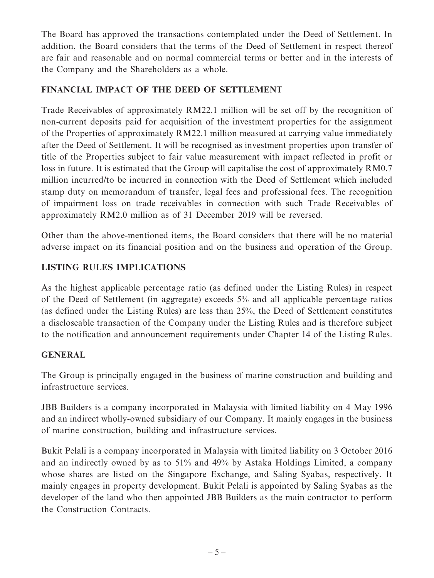The Board has approved the transactions contemplated under the Deed of Settlement. In addition, the Board considers that the terms of the Deed of Settlement in respect thereof are fair and reasonable and on normal commercial terms or better and in the interests of the Company and the Shareholders as a whole.

## **FINANCIAL IMPACT OF THE DEED OF SETTLEMENT**

Trade Receivables of approximately RM22.1 million will be set off by the recognition of non-current deposits paid for acquisition of the investment properties for the assignment of the Properties of approximately RM22.1 million measured at carrying value immediately after the Deed of Settlement. It will be recognised as investment properties upon transfer of title of the Properties subject to fair value measurement with impact reflected in profit or loss in future. It is estimated that the Group will capitalise the cost of approximately RM0.7 million incurred/to be incurred in connection with the Deed of Settlement which included stamp duty on memorandum of transfer, legal fees and professional fees. The recognition of impairment loss on trade receivables in connection with such Trade Receivables of approximately RM2.0 million as of 31 December 2019 will be reversed.

Other than the above-mentioned items, the Board considers that there will be no material adverse impact on its financial position and on the business and operation of the Group.

## **LISTING RULES IMPLICATIONS**

As the highest applicable percentage ratio (as defined under the Listing Rules) in respect of the Deed of Settlement (in aggregate) exceeds 5% and all applicable percentage ratios (as defined under the Listing Rules) are less than 25%, the Deed of Settlement constitutes a discloseable transaction of the Company under the Listing Rules and is therefore subject to the notification and announcement requirements under Chapter 14 of the Listing Rules.

## **GENERAL**

The Group is principally engaged in the business of marine construction and building and infrastructure services.

JBB Builders is a company incorporated in Malaysia with limited liability on 4 May 1996 and an indirect wholly-owned subsidiary of our Company. It mainly engages in the business of marine construction, building and infrastructure services.

Bukit Pelali is a company incorporated in Malaysia with limited liability on 3 October 2016 and an indirectly owned by as to 51% and 49% by Astaka Holdings Limited, a company whose shares are listed on the Singapore Exchange, and Saling Syabas, respectively. It mainly engages in property development. Bukit Pelali is appointed by Saling Syabas as the developer of the land who then appointed JBB Builders as the main contractor to perform the Construction Contracts.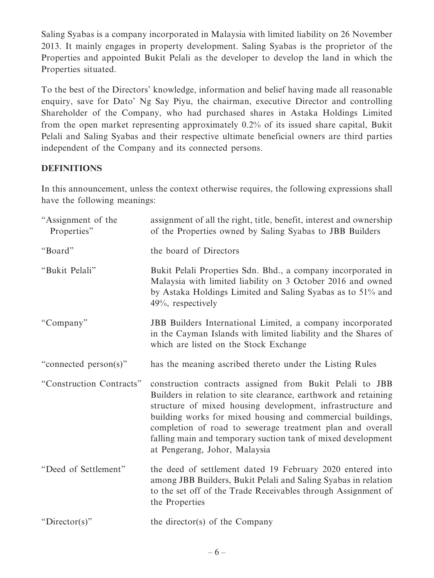Saling Syabas is a company incorporated in Malaysia with limited liability on 26 November 2013. It mainly engages in property development. Saling Syabas is the proprietor of the Properties and appointed Bukit Pelali as the developer to develop the land in which the Properties situated.

To the best of the Directors' knowledge, information and belief having made all reasonable enquiry, save for Dato' Ng Say Piyu, the chairman, executive Director and controlling Shareholder of the Company, who had purchased shares in Astaka Holdings Limited from the open market representing approximately 0.2% of its issued share capital, Bukit Pelali and Saling Syabas and their respective ultimate beneficial owners are third parties independent of the Company and its connected persons.

## **DEFINITIONS**

In this announcement, unless the context otherwise requires, the following expressions shall have the following meanings:

| "Assignment of the<br>Properties" | assignment of all the right, title, benefit, interest and ownership<br>of the Properties owned by Saling Syabas to JBB Builders                                                                                                                                                                                                                                                                                       |
|-----------------------------------|-----------------------------------------------------------------------------------------------------------------------------------------------------------------------------------------------------------------------------------------------------------------------------------------------------------------------------------------------------------------------------------------------------------------------|
| "Board"                           | the board of Directors                                                                                                                                                                                                                                                                                                                                                                                                |
| "Bukit Pelali"                    | Bukit Pelali Properties Sdn. Bhd., a company incorporated in<br>Malaysia with limited liability on 3 October 2016 and owned<br>by Astaka Holdings Limited and Saling Syabas as to 51% and<br>49%, respectively                                                                                                                                                                                                        |
| "Company"                         | JBB Builders International Limited, a company incorporated<br>in the Cayman Islands with limited liability and the Shares of<br>which are listed on the Stock Exchange                                                                                                                                                                                                                                                |
| "connected person(s)"             | has the meaning ascribed thereto under the Listing Rules                                                                                                                                                                                                                                                                                                                                                              |
| "Construction Contracts"          | construction contracts assigned from Bukit Pelali to JBB<br>Builders in relation to site clearance, earthwork and retaining<br>structure of mixed housing development, infrastructure and<br>building works for mixed housing and commercial buildings,<br>completion of road to sewerage treatment plan and overall<br>falling main and temporary suction tank of mixed development<br>at Pengerang, Johor, Malaysia |
| "Deed of Settlement"              | the deed of settlement dated 19 February 2020 entered into<br>among JBB Builders, Bukit Pelali and Saling Syabas in relation<br>to the set off of the Trade Receivables through Assignment of<br>the Properties                                                                                                                                                                                                       |
| "Director(s)"                     | the director(s) of the Company                                                                                                                                                                                                                                                                                                                                                                                        |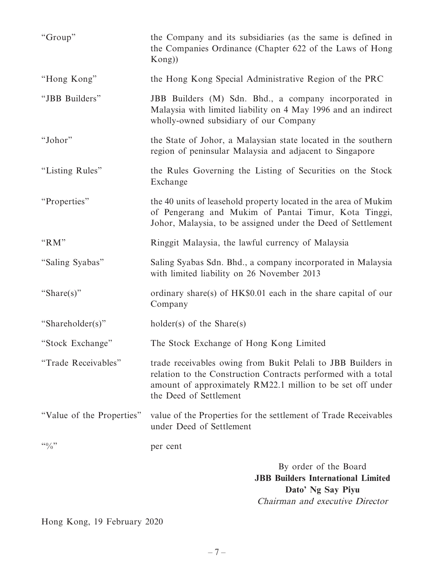| "Group"                      | the Company and its subsidiaries (as the same is defined in<br>the Companies Ordinance (Chapter 622 of the Laws of Hong<br>Kong)                                                                                      |  |  |  |
|------------------------------|-----------------------------------------------------------------------------------------------------------------------------------------------------------------------------------------------------------------------|--|--|--|
| "Hong Kong"                  | the Hong Kong Special Administrative Region of the PRC                                                                                                                                                                |  |  |  |
| "JBB Builders"               | JBB Builders (M) Sdn. Bhd., a company incorporated in<br>Malaysia with limited liability on 4 May 1996 and an indirect<br>wholly-owned subsidiary of our Company                                                      |  |  |  |
| "Johor"                      | the State of Johor, a Malaysian state located in the southern<br>region of peninsular Malaysia and adjacent to Singapore                                                                                              |  |  |  |
| "Listing Rules"              | the Rules Governing the Listing of Securities on the Stock<br>Exchange                                                                                                                                                |  |  |  |
| "Properties"                 | the 40 units of leasehold property located in the area of Mukim<br>of Pengerang and Mukim of Pantai Timur, Kota Tinggi,<br>Johor, Malaysia, to be assigned under the Deed of Settlement                               |  |  |  |
| " $RM"$                      | Ringgit Malaysia, the lawful currency of Malaysia                                                                                                                                                                     |  |  |  |
| "Saling Syabas"              | Saling Syabas Sdn. Bhd., a company incorporated in Malaysia<br>with limited liability on 26 November 2013                                                                                                             |  |  |  |
| "Share(s)"                   | ordinary share(s) of HK\$0.01 each in the share capital of our<br>Company                                                                                                                                             |  |  |  |
| "Shareholder(s)"             | $holder(s)$ of the Share $(s)$                                                                                                                                                                                        |  |  |  |
| "Stock Exchange"             | The Stock Exchange of Hong Kong Limited                                                                                                                                                                               |  |  |  |
| "Trade Receivables"          | trade receivables owing from Bukit Pelali to JBB Builders in<br>relation to the Construction Contracts performed with a total<br>amount of approximately RM22.1 million to be set off under<br>the Deed of Settlement |  |  |  |
| "Value of the Properties"    | value of the Properties for the settlement of Trade Receivables<br>under Deed of Settlement                                                                                                                           |  |  |  |
| $\frac{1}{2}$ $\binom{1}{2}$ | per cent                                                                                                                                                                                                              |  |  |  |
|                              | By order of the Board<br><b>JBB Builders International Limited</b><br>Dato' Ng Say Piyu<br>Chairman and executive Director                                                                                            |  |  |  |

Hong Kong, 19 February 2020